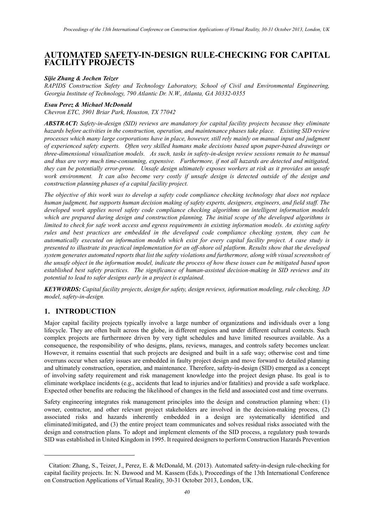# **AUTOMATED SAFETY-IN-DESIGN RULE-CHECKING FOR CAPITAL FACILITY PROJECTS[1](#page-0-0)**

#### *Sijie Zhang & Jochen Teizer*

*RAPIDS Construction Safety and Technology Laboratory, School of Civil and Environmental Engineering, Georgia Institute of Technology, 790 Atlantic Dr. N.W., Atlanta, GA 30332-0355*

#### *Esau Perez & Michael McDonald*

*Chevron ETC, 3901 Briar Park, Houston, TX 77042*

*ABSTRACT: Safety-in-design (SID) reviews are mandatory for capital facility projects because they eliminate hazards before activities in the construction, operation, and maintenance phases take place. Existing SID review processes which many large corporations have in place, however, still rely mainly on manual input and judgment of experienced safety experts. Often very skilled humans make decisions based upon paper-based drawings or three-dimensional visualization models. As such, tasks in safety-in-design review sessions remain to be manual and thus are very much time-consuming, expensive. Furthermore, if not all hazards are detected and mitigated, they can be potentially error-prone. Unsafe design ultimately exposes workers at risk as it provides an unsafe work environment. It can also become very costly if unsafe design is detected outside of the design and construction planning phases of a capital facility project.* 

*The objective of this work was to develop a safety code compliance checking technology that does not replace human judgment, but supports human decision making of safety experts, designers, engineers, and field staff. The developed work applies novel safety code compliance checking algorithms on intelligent information models which are prepared during design and construction planning. The initial scope of the developed algorithms is limited to check for safe work access and egress requirements in existing information models. As existing safety rules and best practices are embedded in the developed code compliance checking system, they can be automatically executed on information models which exist for every capital facility project. A case study is presented to illustrate its practical implementation for an off-shore oil platform. Results show that the developed system generates automated reports that list the safety violations and furthermore, along with visual screenshots of the unsafe object in the information model, indicate the process of how these issues can be mitigated based upon established best safety practices. The significance of human-assisted decision-making in SID reviews and its potential to lead to safer designs early in a project is explained.*

*KEYWORDS: Capital facility projects, design for safety, design reviews, information modeling, rule checking, 3D model, safety-in-design.*

### **1. INTRODUCTION**

 $\overline{a}$ 

Major capital facility projects typically involve a large number of organizations and individuals over a long lifecycle. They are often built across the globe, in different regions and under different cultural contexts. Such complex projects are furthermore driven by very tight schedules and have limited resources available. As a consequence, the responsibility of who designs, plans, reviews, manages, and controls safety becomes unclear. However, it remains essential that such projects are designed and built in a safe way; otherwise cost and time overruns occur when safety issues are embedded in faulty project design and move forward to detailed planning and ultimately construction, operation, and maintenance. Therefore, safety-in-design (SID) emerged as a concept of involving safety requirement and risk management knowledge into the project design phase. Its goal is to eliminate workplace incidents (e.g., accidents that lead to injuries and/or fatalities) and provide a safe workplace. Expected other benefits are reducing the likelihood of changes in the field and associated cost and time overruns.

Safety engineering integrates risk management principles into the design and construction planning when: (1) owner, contractor, and other relevant project stakeholders are involved in the decision-making process, (2) associated risks and hazards inherently embedded in a design are systematically identified and eliminated/mitigated, and (3) the entire project team communicates and solves residual risks associated with the design and construction plans. To adopt and implement elements of the SID process, a regulatory push towards SID was established in United Kingdom in 1995. It required designers to perform Construction Hazards Prevention

<span id="page-0-0"></span><sup>1</sup> Citation: Zhang, S., Teizer, J., Perez, E. & McDonald, M. (2013). Automated safety-in-design rule-checking for capital facility projects. In: N. Dawood and M. Kassem (Eds.), Proceedings of the 13th International Conference on Construction Applications of Virtual Reality, 30-31 October 2013, London, UK.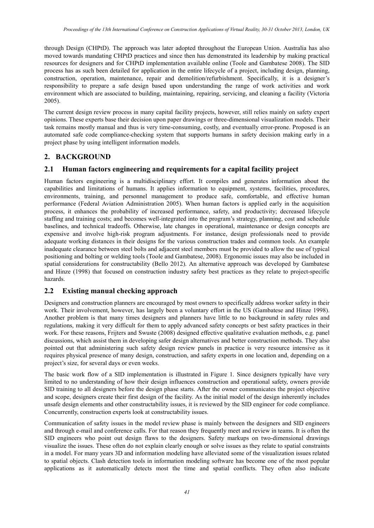through Design (CHPtD). The approach was later adopted throughout the European Union. Australia has also moved towards mandating CHPtD practices and since then has demonstrated its leadership by making practical resources for designers and for CHPtD implementation available online (Toole and Gambatese 2008). The SID process has as such been detailed for application in the entire lifecycle of a project, including design, planning, construction, operation, maintenance, repair and demolition/refurbishment. Specifically, it is a designer's responsibility to prepare a safe design based upon understanding the range of work activities and work environment which are associated to building, maintaining, repairing, servicing, and cleaning a facility (Victoria 2005).

The current design review process in many capital facility projects, however, still relies mainly on safety expert opinions. These experts base their decision upon paper drawings or three-dimensional visualization models. Their task remains mostly manual and thus is very time-consuming, costly, and eventually error-prone. Proposed is an automated safe code compliance-checking system that supports humans in safety decision making early in a project phase by using intelligent information models.

### **2. BACKGROUND**

### **2.1 Human factors engineering and requirements for a capital facility project**

Human factors engineering is a multidisciplinary effort. It compiles and generates information about the capabilities and limitations of humans. It applies information to equipment, systems, facilities, procedures, environments, training, and personnel management to produce safe, comfortable, and effective human performance (Federal Aviation Administration 2005). When human factors is applied early in the acquisition process, it enhances the probability of increased performance, safety, and productivity; decreased lifecycle staffing and training costs; and becomes well-integrated into the program's strategy, planning, cost and schedule baselines, and technical tradeoffs. Otherwise, late changes in operational, maintenance or design concepts are expensive and involve high-risk program adjustments. For instance, design professionals need to provide adequate working distances in their designs for the various construction trades and common tools. An example inadequate clearance between steel bolts and adjacent steel members must be provided to allow the use of typical positioning and bolting or welding tools (Toole and Gambatese, 2008). Ergonomic issues may also be included in spatial considerations for constructability (Bello 2012). An alternative approach was developed by Gambatese and Hinze (1998) that focused on construction industry safety best practices as they relate to project-specific hazards.

# **2.2 Existing manual checking approach**

Designers and construction planners are encouraged by most owners to specifically address worker safety in their work. Their involvement, however, has largely been a voluntary effort in the US (Gambatese and Hinze 1998). Another problem is that many times designers and planners have little to no background in safety rules and regulations, making it very difficult for them to apply advanced safety concepts or best safety practices in their work. For these reasons, Frijters and Swuste (2008) designed effective qualitative evaluation methods, e.g. panel discussions, which assist them in developing safer design alternatives and better construction methods. They also pointed out that administering such safety design review panels in practice is very resource intensive as it requires physical presence of many design, construction, and safety experts in one location and, depending on a project's size, for several days or even weeks.

The basic work flow of a SID implementation is illustrated in Figure 1. Since designers typically have very limited to no understanding of how their design influences construction and operational safety, owners provide SID training to all designers before the design phase starts. After the owner communicates the project objective and scope, designers create their first design of the facility. As the initial model of the design inherently includes unsafe design elements and other constructability issues, it is reviewed by the SID engineer for code compliance. Concurrently, construction experts look at constructability issues.

Communication of safety issues in the model review phase is mainly between the designers and SID engineers and through e-mail and conference calls. For that reason they frequently meet and review in teams. It is often the SID engineers who point out design flaws to the designers. Safety markups on two-dimensional drawings visualize the issues. These often do not explain clearly enough or solve issues as they relate to spatial constraints in a model. For many years 3D and information modeling have alleviated some of the visualization issues related to spatial objects. Clash detection tools in information modeling software has become one of the most popular applications as it automatically detects most the time and spatial conflicts. They often also indicate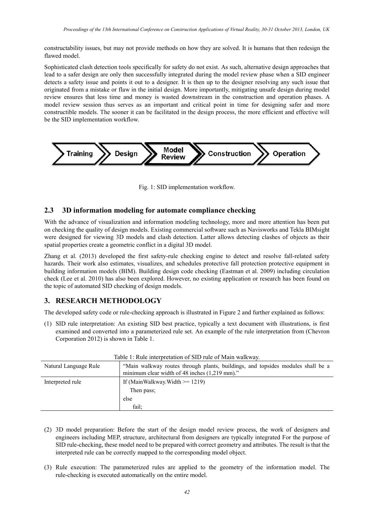constructability issues, but may not provide methods on how they are solved. It is humans that then redesign the flawed model.

Sophisticated clash detection tools specifically for safety do not exist. As such, alternative design approaches that lead to a safer design are only then successfully integrated during the model review phase when a SID engineer detects a safety issue and points it out to a designer. It is then up to the designer resolving any such issue that originated from a mistake or flaw in the initial design. More importantly, mitigating unsafe design during model review ensures that less time and money is wasted downstream in the construction and operation phases. A model review session thus serves as an important and critical point in time for designing safer and more constructible models. The sooner it can be facilitated in the design process, the more efficient and effective will be the SID implementation workflow.



Fig. 1: SID implementation workflow.

### **2.3 3D information modeling for automate compliance checking**

With the advance of visualization and information modeling technology, more and more attention has been put on checking the quality of design models. Existing commercial software such as Navisworks and Tekla BIMsight were designed for viewing 3D models and clash detection. Latter allows detecting clashes of objects as their spatial properties create a geometric conflict in a digital 3D model.

Zhang et al. (2013) developed the first safety-rule checking engine to detect and resolve fall-related safety hazards. Their work also estimates, visualizes, and schedules protective fall protection protective equipment in building information models (BIM). Building design code checking (Eastman et al. 2009) including circulation check (Lee et al. 2010) has also been explored. However, no existing application or research has been found on the topic of automated SID checking of design models.

### **3. RESEARCH METHODOLOGY**

The developed safety code or rule-checking approach is illustrated in Figure 2 and further explained as follows:

(1) SID rule interpretation: An existing SID best practice, typically a text document with illustrations, is first examined and converted into a parameterized rule set. An example of the rule interpretation from (Chevron Corporation 2012) is shown in Table 1.

| Table 1: Rule interpretation of SID rule of Main walkway. |                                                                                                                                  |  |  |  |  |
|-----------------------------------------------------------|----------------------------------------------------------------------------------------------------------------------------------|--|--|--|--|
| Natural Language Rule                                     | "Main walkway routes through plants, buildings, and topsides modules shall be a<br>minimum clear width of 48 inches (1,219 mm)." |  |  |  |  |
| Interpreted rule                                          | If (MainWalkway.Width $\ge$ 1219)                                                                                                |  |  |  |  |
|                                                           | Then pass;                                                                                                                       |  |  |  |  |
|                                                           | else                                                                                                                             |  |  |  |  |
|                                                           | fail:                                                                                                                            |  |  |  |  |

| Table $1 \cdot$ Rule interpretation of SID rule of Main walkway |  |  |  |
|-----------------------------------------------------------------|--|--|--|

- (2) 3D model preparation: Before the start of the design model review process, the work of designers and engineers including MEP, structure, architectural from designers are typically integrated For the purpose of SID rule-checking, these model need to be prepared with correct geometry and attributes. The result is that the interpreted rule can be correctly mapped to the corresponding model object.
- (3) Rule execution: The parameterized rules are applied to the geometry of the information model. The rule-checking is executed automatically on the entire model.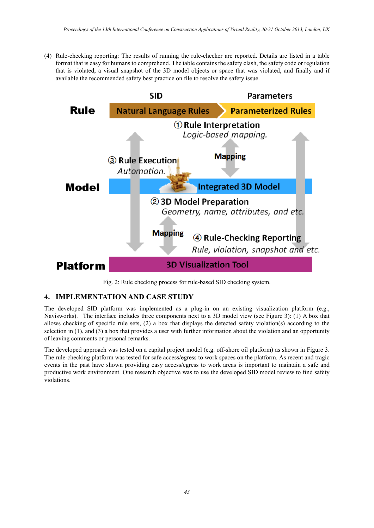(4) Rule-checking reporting: The results of running the rule-checker are reported. Details are listed in a table format that is easy for humans to comprehend. The table contains the safety clash, the safety code or regulation that is violated, a visual snapshot of the 3D model objects or space that was violated, and finally and if available the recommended safety best practice on file to resolve the safety issue.



Fig. 2: Rule checking process for rule-based SID checking system.

### **4. IMPLEMENTATION AND CASE STUDY**

The developed SID platform was implemented as a plug-in on an existing visualization platform (e.g., Navisworks). The interface includes three components next to a 3D model view (see Figure 3): (1) A box that allows checking of specific rule sets, (2) a box that displays the detected safety violation(s) according to the selection in (1), and (3) a box that provides a user with further information about the violation and an opportunity of leaving comments or personal remarks.

The developed approach was tested on a capital project model (e.g. off-shore oil platform) as shown in Figure 3. The rule-checking platform was tested for safe access/egress to work spaces on the platform. As recent and tragic events in the past have shown providing easy access/egress to work areas is important to maintain a safe and productive work environment. One research objective was to use the developed SID model review to find safety violations.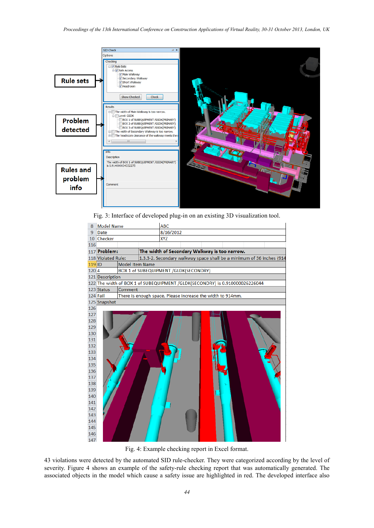

Fig. 3: Interface of developed plug-in on an existing 3D visualization tool.



Fig. 4: Example checking report in Excel format.

43 violations were detected by the automated SID rule-checker. They were categorized according by the level of severity. Figure 4 shows an example of the safety-rule checking report that was automatically generated. The associated objects in the model which cause a safety issue are highlighted in red. The developed interface also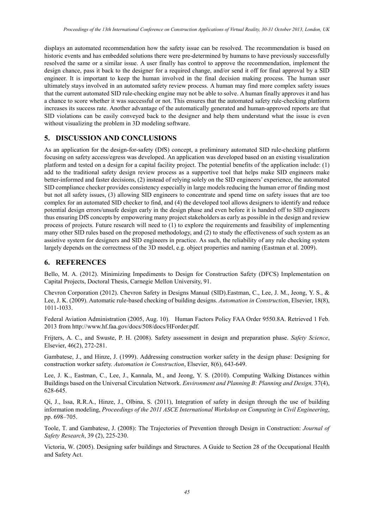displays an automated recommendation how the safety issue can be resolved. The recommendation is based on historic events and has embedded solutions there were pre-determined by humans to have previously successfully resolved the same or a similar issue. A user finally has control to approve the recommendation, implement the design chance, pass it back to the designer for a required change, and/or send it off for final approval by a SID engineer. It is important to keep the human involved in the final decision making process. The human user ultimately stays involved in an automated safety review process. A human may find more complex safety issues that the current automated SID rule-checking engine may not be able to solve. A human finally approves it and has a chance to score whether it was successful or not. This ensures that the automated safety rule-checking platform increases its success rate. Another advantage of the automatically generated and human-approved reports are that SID violations can be easily conveyed back to the designer and help them understand what the issue is even without visualizing the problem in 3D modeling software.

## **5. DISCUSSION AND CONCLUSIONS**

As an application for the design-for-safety (DfS) concept, a preliminary automated SID rule-checking platform focusing on safety access/egress was developed. An application was developed based on an existing visualization platform and tested on a design for a capital facility project. The potential benefits of the application include: (1) add to the traditional safety design review process as a supportive tool that helps make SID engineers make better-informed and faster decisions, (2) instead of relying solely on the SID engineers' experience, the automated SID compliance checker provides consistency especially in large models reducing the human error of finding most but not all safety issues, (3) allowing SID engineers to concentrate and spend time on safety issues that are too complex for an automated SID checker to find, and (4) the developed tool allows designers to identify and reduce potential design errors/unsafe design early in the design phase and even before it is handed off to SID engineers thus ensuring DfS concepts by empowering many project stakeholders as early as possible in the design and review process of projects. Future research will need to (1) to explore the requirements and feasibility of implementing many other SID rules based on the proposed methodology, and (2) to study the effectiveness of such system as an assistive system for designers and SID engineers in practice. As such, the reliability of any rule checking system largely depends on the correctness of the 3D model, e.g. object properties and naming (Eastman et al. 2009).

### **6. REFERENCES**

Bello, M. A. (2012). Minimizing Impediments to Design for Construction Safety (DFCS) Implementation on Capital Projects, Doctoral Thesis, Carnegie Mellon University, 91.

Chevron Corporation (2012). Chevron Safety in Designs Manual (SID).Eastman, C., Lee, J. M., Jeong, Y. S., & Lee, J. K. (2009). Automatic rule-based checking of building designs. *Automation in Constructio*n, Elsevier, 18(8), 1011-1033.

Federal Aviation Administration (2005, Aug. 10). Human Factors Policy FAA Order 9550.8A. Retrieved 1 Feb. 2013 from http://www.hf.faa.gov/docs/508/docs/HForder.pdf.

Frijters, A. C., and Swuste, P. H. (2008). Safety assessment in design and preparation phase. *Safety Science*, Elsevier, 46(2), 272-281.

Gambatese, J., and Hinze, J. (1999). Addressing construction worker safety in the design phase: Designing for construction worker safety. *Automation in Construction*, Elsevier, 8(6), 643-649.

Lee, J. K., Eastman, C., Lee, J., Kannala, M., and Jeong, Y. S. (2010). Computing Walking Distances within Buildings based on the Universal Circulation Network. *Environment and Planning B: Planning and Design,* 37(4), 628-645.

Qi, J., Issa, R.R.A., Hinze, J., Olbina, S. (2011), Integration of safety in design through the use of building information modeling, *Proceedings of the 2011 ASCE International Workshop on Computing in Civil Engineering*, pp. 698–705.

Toole, T. and Gambatese, J. (2008): The Trajectories of Prevention through Design in Construction: *Journal of Safety Research*, 39 (2), 225-230.

Victoria, W. (2005). Designing safer buildings and Structures. A Guide to Section 28 of the Occupational Health and Safety Act.